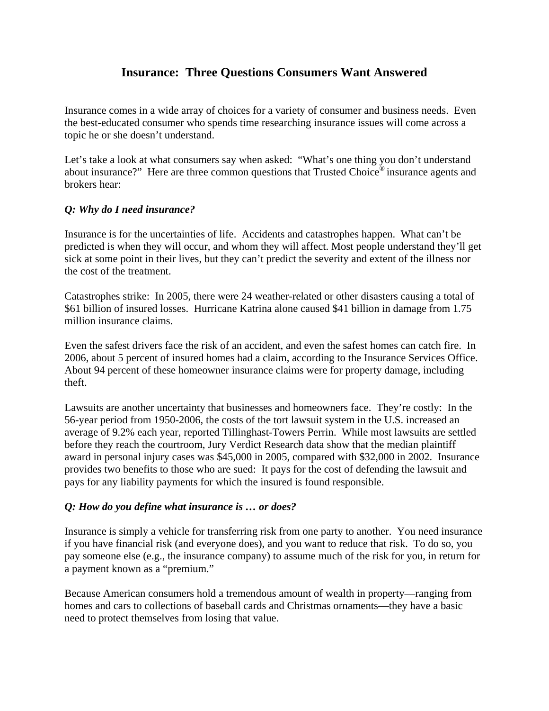## **Insurance: Three Questions Consumers Want Answered**

Insurance comes in a wide array of choices for a variety of consumer and business needs. Even the best-educated consumer who spends time researching insurance issues will come across a topic he or she doesn't understand.

Let's take a look at what consumers say when asked: "What's one thing you don't understand about insurance?" Here are three common questions that Trusted Choice<sup>®</sup> insurance agents and brokers hear:

## *Q: Why do I need insurance?*

Insurance is for the uncertainties of life. Accidents and catastrophes happen. What can't be predicted is when they will occur, and whom they will affect. Most people understand they'll get sick at some point in their lives, but they can't predict the severity and extent of the illness nor the cost of the treatment.

Catastrophes strike: In 2005, there were 24 weather-related or other disasters causing a total of \$61 billion of insured losses. Hurricane Katrina alone caused \$41 billion in damage from 1.75 million insurance claims.

Even the safest drivers face the risk of an accident, and even the safest homes can catch fire. In 2006, about 5 percent of insured homes had a claim, according to the Insurance Services Office. About 94 percent of these homeowner insurance claims were for property damage, including theft.

Lawsuits are another uncertainty that businesses and homeowners face. They're costly: In the 56-year period from 1950-2006, the costs of the tort lawsuit system in the U.S. increased an average of 9.2% each year, reported Tillinghast-Towers Perrin. While most lawsuits are settled before they reach the courtroom, Jury Verdict Research data show that the median plaintiff award in personal injury cases was \$45,000 in 2005, compared with \$32,000 in 2002. Insurance provides two benefits to those who are sued: It pays for the cost of defending the lawsuit and pays for any liability payments for which the insured is found responsible.

## *Q: How do you define what insurance is … or does?*

Insurance is simply a vehicle for transferring risk from one party to another. You need insurance if you have financial risk (and everyone does), and you want to reduce that risk. To do so, you pay someone else (e.g., the insurance company) to assume much of the risk for you, in return for a payment known as a "premium."

Because American consumers hold a tremendous amount of wealth in property—ranging from homes and cars to collections of baseball cards and Christmas ornaments—they have a basic need to protect themselves from losing that value.